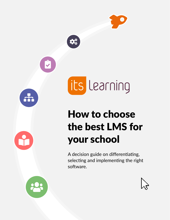



its Learning

# How to choose the best LMS for your school

A decision guide on differentiating, selecting and implementing the right software.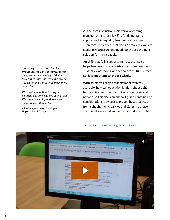*itslearning is a one-stop shop for everything. You can put your resources on it, learners can easily find their work, they can go back and revise their work. The platform makes it all so much more accessible.* 

*We spent a lot of time looking at different platforms and evaluating them. We chose itslearning and we've been really happy with our choice."*

**Inka Clark,** eLearning Developer, Hopwood Hall College

As the core instructional platform, a learning management system (LMS) is fundamental to supporting high-quality teaching and learning. Therefore, it is critical that decision makers evaluate goals, infrastructure and needs to choose the right solution for their schools.

An LMS that fully supports instructional goals helps teachers and administrators to prepare their students, classrooms, and schools for future success. **So, it is important to choose wisely.**

With so many learning management systems available, how can education leaders choose the best solution for their institutions or educational networks? This decision support guide contains key considerations, advice and proven best practices from schools, municipalities and states that have successfully selected and implemented a new LMS.



See the [video on the itslearning YouTube](https://youtu.be/_0rMnejZ7Lc) channel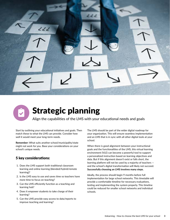



## Strategic planning

Align the capabilities of the LMS with your educational needs and goals

Start by outlining your educational initiatives and goals. Then match these to what the LMS can provide. Consider how well it would meet your long-term needs.

**Remember:** What suits another school/municipality/state might not work for you. Base your considerations on your school's unique needs.

### 5 key considerations:

- 1. Does the LMS support both traditional classroom learning and online learning (blended/hybrid/remote learning)?
- 2. Is the LMS easy to use and saves time so teachers have more time to focus on teaching?
- 3. Can the LMS efficiently function as a teaching and learning hub?
- 4. Does it empower students to take charge of their learning?
- 5. Can the LMS provide easy access to data/reports to improve teaching and learning?

The LMS should be part of the wider digital roadmap for your organization. This will ensure seamless implementation and an LMS that is in sync with all other digital tools at your school.

When there is good alignment between your instructional goals and the functionalities of the LMS, this virtual learning environment (VLE) can become a powerful tool to support a personalized instruction based on learning objectives and data. But if this alignment doesn't exist or falls short, the learning platform will not be used by a majority of teachers and the school's digital transformation will likely not succeed. **Successfully choosing an LMS involves many steps.**

Ideally, the process should begin 9 months before full implementation for large school networks. This timetable will provide a comfortable timeline for necessary evaluations, testing and implementing the system properly. This timeline could be reduced for smaller school networks and individual schools.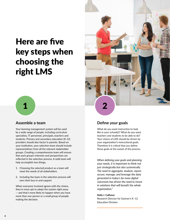## Here are five key steps when choosing the right LMS



### **Assemble a team**

Your learning management system will be used by a wide range of people, including curriculum specialists, IT personnel, principals, teachers and students. Primary and secondary education (K-12) providers should also factor in parents. Based on your institution, your selection team should include representatives from all the relevant stakeholder groups. Creating a comprehensive team will ensure that each group's interests and perspectives are reflected in the selection process. A solid team will help accomplish two things:

- 1. Choosing the selected product as a team will meet the needs of all stakeholders
- 2. Including the team in the selection process will earn their buy-in and support

When everyone involved agrees with the choice, they're more apt to adopt the system right away — and that's more likely to happen when you have more than one person or a small group of people making the decision.



### **Define your goals**

What do you want instruction to look like in your school(s)? What do you want teachers and students to be able to do? Your choice of LMS should be driven by your organization's instructional goals. Therefore it is critical that you define these goals at the outset of the process.

*When defining your goals and planning your needs, it is important to think not just strategically but also systemically. The need to aggregate, analyze, report, secure, manage, and leverage the data generated in today's far more digital classroom has driven the need to invest in solutions that will benefit the whole organization."*

### **Kelly J. Calhoun**

Research Director for Gartner's K–12 Education Division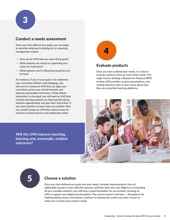### **Conduct a needs assessment**

Once you have defined your goals, you can begin to describe what you're looking for in a learning management system.

- How can an LMS help you reach these goals?
- What features are critical in supporting your vision for instruction?
- What features aren't critical but would be nice to have?

For instance, if one of your goals is to modernize your curriculum delivery and pedagogy, you will want to choose an LMS that can align your curriculum across your school/network and help you personalize instruction. If data-driven instruction is a key goal, you will want an LMS that includes learning analytics to help teachers group students appropriately and plan their instruction. If you want teachers to learn from one another, then you should choose an LMS that makes it easy for teachers to share lessons and collaborate online.



### **Evaluate products**

Once you have outlined your needs, it is time to evaluate solutions that can meet these needs. This might involve drafting a Request for Proposal (RFP), inviting LMS providers to give presentations, and visiting reference sites to learn more about how they are using their learning platforms.



**Will the LMS improve teaching, learning and, eventually, student outcomes?**



### **Choose a solution**

Once you have defined your goals and your needs, included representatives from all stakeholder groups in your selection process, and have done your due diligence in evaluating all your possible solutions, you will have a good foundation for successfully choosing an LMS to support your digital transformation. The process doesn't end here — throughout the implementation phase and beyond, continue to evaluate the system you have chosen to make sure it meets your school's needs.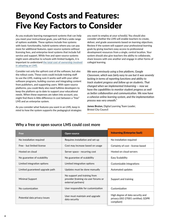## Beyond Costs and Features: Five Key Factors to Consider

As you evaluate learning management systems that can help you meet your instructional goals, you will find a wide range of options available. These options include free systems with basic functionality, hybrid systems where you can pay more for additional features, open-source systems without licensing fees, and enterprise-level systems that include full service and support. While free and open-source systems might seem attractive to schools with limited budgets, it is important to understand [the total cost of ownership involved](https://itslearning.com/global/about-us/resources/dg-open-source-lms-implications/)  [in adopting an LMS.](https://itslearning.com/global/about-us/resources/dg-open-source-lms-implications/)

Consider not only the upfront cost of the software, but also the rollout costs. These costs could include training staff to use the LMS, making sure it works well with your other software programs, building courses and integrating content from publishers, and supporting users. With open-source platforms, you could likely also need fulltime developers to keep the platform up to date to support your educational needs. When these expenses are taken into account, you might find there is little difference in cost between a "free" LMS and an enterprise system.

As you consider what features you want in an LMS, keep in mind to how the system supports the pedagogical strategies you want to employ at your school(s). You should also consider whether the LMS will enable teachers to create, deliver, and grade assessments based on learning objectives. Review if the system will support your professional learning goals by giving teachers easy access to professional development resources from a single, central location. Your system should also give teachers the ability to collaborate, share lessons with one another and engage in other forms of collegial learning.

*We were previously using a free platform, Google Classroom, which was fairly easy to use but it was severely lacking in terms of reporting functions and ability to track student progress and follow up on students. That changed when we implemented itslearning — now we have the capabilities to monitor student progress as well as better collaboration and communication. We now have a cohesive online learning system, and the implementation process was very smooth."*

**James Bruton,** Digital Learning Team Leader, Bristol City Council

| Free                                                                             | <b>Open-source</b>                                                                          | <b>itslearning (Enterprise SaaS)</b>                                                 |
|----------------------------------------------------------------------------------|---------------------------------------------------------------------------------------------|--------------------------------------------------------------------------------------|
| No installation required                                                         | Requires installation and set-up                                                            | No installation required                                                             |
| Free - but limited license                                                       | Cost may increase based on usage                                                            | Certainty of cost - license based                                                    |
| Hosted on cloud                                                                  | Server space - recurring cost                                                               | Hosted on cloud servers                                                              |
| No guarantee of scalability                                                      | No guarantee of scalability                                                                 | Easy Scalability                                                                     |
| Limited integration options                                                      | Limited integration options                                                                 | Customizable integrations                                                            |
| Limited guaranteed upgrade path                                                  | Updates must be done manually                                                               | Automated updates                                                                    |
| Minimal Support                                                                  | No support and training from<br>provider (training via user forums or<br>external partners) | Support and training                                                                 |
| No customization                                                                 | User responsible for customization                                                          | Customization                                                                        |
| User must maintain and upgrade<br>Potential data privacy issues<br>data security |                                                                                             | High degree of data security and<br>privacy (ISO 27001 certified, GDPR<br>compliant) |

### **Why a free or open source LMS could cost more**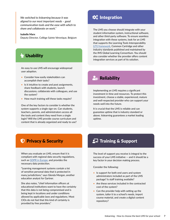*We switched to itslearning because it was aligned to our most important needs – good communication tools and the ease with which to share and collaborate on work."*

### **Isabelle Marx**

Deputy Director, Collège Sainte Véronique, Belgium

### $\bigcup$  Usability

An easy to use LMS will encourage widespread user adoption.

- Consider how easily stakeholders can accomplish their tasks?
- Is it intuitive to create and post assignments, share feedback with students, launch discussions, collaborate with colleagues, and use the system?
- How much training will these tasks require?

One of the key factors to consider is whether the system supports a single sign-on. Can students, teachers, parents, and administrators access all the tools and content they need from a single login? Will the LMS provide course curriculum and content that is already organized and ready to use?

## $\boldsymbol{\phi}_{\alpha}^{\alpha}$  Integration

The LMS you choose should integrate with your student information system, instructional software, and other third-party software. To ensure seamless integration with these systems, look for an LMS that supports the Learning Tools Interoperability [\(LTI\) framework,](https://itslearning.com/global/wp-content/uploads/sites/20/2018/11/Integration-datasheet.pdf) Common Cartridge and other industry standards published and maintained by the IMS Global Learning Consortium. You should also consider whether the provider offers content integration services as part of its solution.

### $P<sub>o</sub>$  Reliability

Implementing an LMS requires a significant investment in time and resources. To protect this investment, choose a stable, experienced, mature and well-respected provider who can support your needs well into the future.

It is crucial that the LMS is reliable and can guarantee uptime that is industry standard or above. itslearning guarantees a market leading uptime.

### **D** Privacy & Security

When you evaluate an LMS, ensure that it is compliant with regional data security regulations, such as [GDPR in Europe,](https://itslearning.com/global/your-data-matters/gdpr/) and provides the necessary data protection.

"Learning management systems contain a lot of sensitive personal data that is protected in many jurisdictions," says Glenda Morgan, another education analyst for Gartner.

She also notes, "chief information officers at educational institutions want to have the certainty that this data is not being compromised and is being kept in locations and under conditions allowed by applicable laws and regulations. Most CIOs do not feel that this kind of certainty is provided by free providers."

### **Chalkboard-team** Support

The level of support you receive is integral to the success of your LMS initiative — and it should be a key factor in your decision making process.

Consider the following:

- Is support for both end users and system administrators included as part of the LMS package? Is staff training available?
- Are these services included in the contracted cost of the system?
- Can the provider help with setting up the system, tailor it to a school's needs, import course material, and create a digital content repository?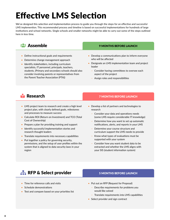# Effective LMS Selection

We've designed this selection and implementation process to guide you through the steps for an effective and successful LMS implemention. This recommended process and timeline is based on successful implementations for hundreds of large institutions and school networks. Single schools and smaller networks might be able to carry out some of the steps outlined here in less time.

- Define instructional goals and requirements
- Determine change management approach
- Identify stakeholders, including curriculum specialists, IT personnel, principals, teachers, students. (Primary and secondary schools should also consider involving parents or representatives from the Parent Teacher Association (PTA))

### **USERS ASSEMBLE** 2 MONTHS BEFORE LAUNCH

- Develop a communications plan to inform everyone who will be affected
- Designate an LMS implementation team and project leader
	- Consider having committees to oversee each aspect of the project
	- Assign roles and responsibilities

- LMS project team to research and create a high level project plan, with clearly defined goals, milestones and processes to measure success
- Calculate ROI (Return on Investment) and TCO (Total Cost of Ownership)
- Prepare a plan for providing training and support
- Identify successful implementation stories and research thought leaders
- Translate requirements into necessary capabilities
- Put together a policy for governing security, permissions, and the setup of user profiles within the system that is aligned to data security laws in your region

### **book-reader Research 7 MONTHS BEFORE LAUNCH**

- Develop a list of partners and technologies to research
	- Consider your data and operations needs (some LMS require considerable IT knowledge)
	- Determine how you want to set up automatic notifications, alerts, and reports in your LMS
	- Determine your course structure and curriculum support the LMS needs to provide
	- Know what types of evaluations must be supported with your system
	- Consider how you want student data to be extracted and whether the LMS aligns with your SIS (student information system)

### **FF RFP & Select provider** 5 MONTHS BEFORE LAUNCH

- Time for reference calls and visits
- Schedule demonstrations
- Test and compare based on your priorities list

- Put out an RFP (Request for Proposal)
	- Describe requirements for problems you would like solved
	- Translate requirements into LMS capabilities
- Select provider and sign contract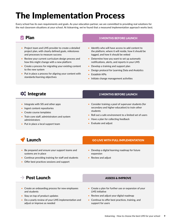# The Implementation Process

Every school has its own requirements and goals. As your education partner, we are committed to providing real solutions for the real classroom situations at your school. At itslearning, we've found that a measured implementation approach works best.

- Project team and LMS provider to create a detailed project plan, with clearly defined goals, milestones and processes to measure success
- Review your current curriculum design process and how this might change with a new platform
- Create a process for migrating your existing content to the new system
- Put in place a process for aligning your content with standards/learning objectives

### $\overline{c}$  Plan  $\overline{a}$  Plan 3 MONTHS BEFORE LAUNCH

- Identify who will have access to add content to the platform, where it will reside, how it should be tagged, and how it should be vetted
- Determine how you want to set up automatic notifications, alerts, and reports in your LMS
- Develop a training and support plan
- Design protocol for Learning Data and Analytics
- Establish KPIs
- Initiate change management activities

- Integrate with SIS and other apps
- Ingest content repositories
- Create course templates
- Train core staff, administrators and system administrators
- Put in place a local support team

### **C**<sub>G</sub></sub> Integrate 2 MONTHS BEFORE LAUNCH

- Consider training a pool of superuser students (for secondary and higher education) to train other students
- Roll out a safe environment to a limited set of users
- Have a plan for collecting feedback
- Evaluate and adjust

- Be prepared and ensure your support teams and systems are in place
- Continue providing training for staff and students
- Offer best practices sessions and support

### **Launch East Collis Collis Collis Collis Collis Collis Collis Collis Collis Collis Collis Collis Collis Collis**

- Develop a digital learning roadmap for future expansion
- Review and adjust

### $\rightarrow$  Post Launch  $\rightarrow$  Assess & IMPROVE

- Create an onboarding process for new employees and students
- Stay on top of product updates
- Do a yearly review of your LMS implementation and adjust or improve as needed
- 
- Create a plan for further use or expansion of your LMS initiative
- Review and adjust your digital roadmap
- Continue to offer best practices, training, and support for users